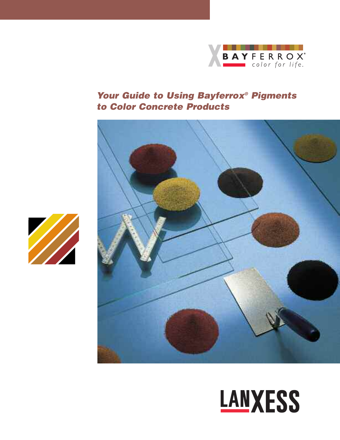

# *Your Guide to Using Bayferrox® Pigments to Color Concrete Products*





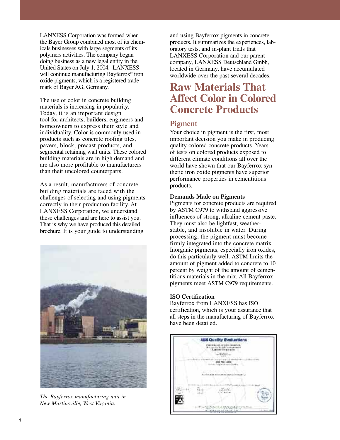LANXESS Corporation was formed when the Bayer Group combined most of its chemicals businesses with large segments of its polymers activities. The company began doing business as a new legal entity in the United States on July 1, 2004. LANXESS will continue manufacturing Bayferrox<sup>®</sup> iron oxide pigments, which is a registered trademark of Bayer AG, Germany.

The use of color in concrete building materials is increasing in popularity. Today, it is an important design tool for architects, builders, engineers and homeowners to express their style and individuality. Color is commonly used in products such as concrete roofing tiles, pavers, block, precast products, and segmental retaining wall units. These colored building materials are in high demand and are also more profitable to manufacturers than their uncolored counterparts.

As a result, manufacturers of concrete building materials are faced with the challenges of selecting and using pigments correctly in their production facility. At LANXESS Corporation, we understand these challenges and are here to assist you. That is why we have produced this detailed brochure. It is your guide to understanding



*The Bayferrox manufacturing unit in New Martinsville, West Virginia.*

and using Bayferrox pigments in concrete products. It summarizes the experiences, laboratory tests, and in-plant trials that LANXESS Corporation and our parent company, LANXESS Deutschland Gmbh, located in Germany, have accumulated worldwide over the past several decades.

# **Raw Materials That Affect Color in Colored Concrete Products**

#### **Pigment**

Your choice in pigment is the first, most important decision you make in producing quality colored concrete products. Years of tests on colored products exposed to different climate conditions all over the world have shown that our Bayferrox synthetic iron oxide pigments have superior performance properties in cementitious products.

#### **Demands Made on Pigments**

Pigments for concrete products are required by ASTM C979 to withstand aggressive influences of strong, alkaline cement paste. They must also be lightfast, weatherstable, and insoluble in water. During processing, the pigment must become firmly integrated into the concrete matrix. Inorganic pigments, especially iron oxides, do this particularly well. ASTM limits the amount of pigment added to concrete to 10 percent by weight of the amount of cementitious materials in the mix. All Bayferrox pigments meet ASTM C979 requirements.

#### **ISO Certification**

Bayferrox from LANXESS has ISO certification, which is your assurance that all steps in the manufacturing of Bayferrox have been detailed.

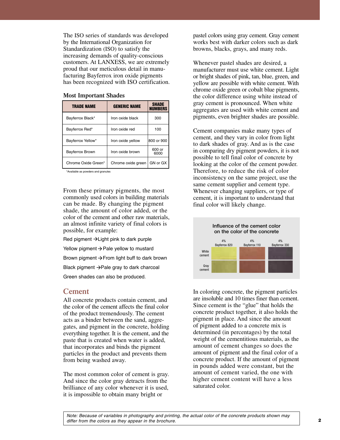The ISO series of standards was developed by the International Organization for Standardization (ISO) to satisfy the increasing demands of quality-conscious customers. At LANXESS, we are extremely proud that our meticulous detail in manufacturing Bayferrox iron oxide pigments has been recognized with ISO certification.

| <b>TRADE NAME</b>      | <b>GENERIC NAME</b> | <b>SHADE</b><br><b>NUMBERS</b> |
|------------------------|---------------------|--------------------------------|
| Bayferrox Black*       | Iron oxide black    | 300                            |
| Bayferrox Red*         | Iron oxide red      | 100                            |
| Bayferrox Yellow*      | Iron oxide yellow   | 800 or 900                     |
| <b>Bayferrox Brown</b> | Iron oxide brown    | 600 or<br>6000                 |
| Chrome Oxide Green*    | Chrome oxide green  | GN or GX                       |

#### **Most Important Shades**

\*Available as powders and granules

From these primary pigments, the most commonly used colors in building materials can be made. By changing the pigment shade, the amount of color added, or the color of the cement and other raw materials, an almost infinite variety of final colors is possible, for example:

Red pigment  $\rightarrow$  Light pink to dark purple

Yellow pigment  $\rightarrow$  Pale yellow to mustard

Brown pigment  $\rightarrow$  From light buff to dark brown

Black pigment -> Pale gray to dark charcoal

Green shades can also be produced.

#### **Cement**

All concrete products contain cement, and the color of the cement affects the final color of the product tremendously. The cement acts as a binder between the sand, aggregates, and pigment in the concrete, holding everything together. It is the cement, and the paste that is created when water is added, that incorporates and binds the pigment particles in the product and prevents them from being washed away.

The most common color of cement is gray. And since the color gray detracts from the brilliance of any color whenever it is used, it is impossible to obtain many bright or

pastel colors using gray cement. Gray cement works best with darker colors such as dark browns, blacks, grays, and many reds.

Whenever pastel shades are desired, a manufacturer must use white cement. Light or bright shades of pink, tan, blue, green, and yellow are possible with white cement. With chrome oxide green or cobalt blue pigments, the color difference using white instead of gray cement is pronounced. When white aggregates are used with white cement and pigments, even brighter shades are possible.

Cement companies make many types of cement, and they vary in color from light to dark shades of gray. And as is the case in comparing dry pigment powders, it is not possible to tell final color of concrete by looking at the color of the cement powder. Therefore, to reduce the risk of color inconsistency on the same project, use the same cement supplier and cement type. Whenever changing suppliers, or type of cement, it is important to understand that final color will likely change.



In coloring concrete, the pigment particles are insoluble and 10 times finer than cement. Since cement is the "glue" that holds the concrete product together, it also holds the pigment in place. And since the amount of pigment added to a concrete mix is determined (in percentages) by the total weight of the cementitious materials, as the amount of cement changes so does the amount of pigment and the final color of a concrete product. If the amount of pigment in pounds added were constant, but the amount of cement varied, the one with higher cement content will have a less saturated color.

Note: Because of variables in photography and printing, the actual color of the concrete products shown may *differ from the colors as they appear in the brochure.*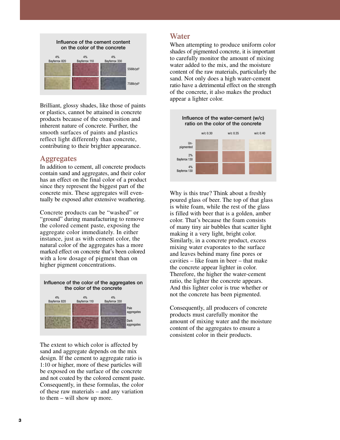

Brilliant, glossy shades, like those of paints or plastics, cannot be attained in concrete products because of the composition and inherent nature of concrete. Further, the smooth surfaces of paints and plastics reflect light differently than concrete, contributing to their brighter appearance.

#### **Aggregates**

In addition to cement, all concrete products contain sand and aggregates, and their color has an effect on the final color of a product since they represent the biggest part of the concrete mix. These aggregates will eventually be exposed after extensive weathering.

Concrete products can be "washed" or "ground" during manufacturing to remove the colored cement paste, exposing the aggregate color immediately. In either instance, just as with cement color, the natural color of the aggregates has a more marked effect on concrete that's been colored with a low dosage of pigment than on higher pigment concentrations.



The extent to which color is affected by sand and aggregate depends on the mix design. If the cement to aggregate ratio is 1:10 or higher, more of these particles will be exposed on the surface of the concrete and not coated by the colored cement paste. Consequently, in these formulas, the color of these raw materials – and any variation to them – will show up more.

## **Water**

When attempting to produce uniform color shades of pigmented concrete, it is important to carefully monitor the amount of mixing water added to the mix, and the moisture content of the raw materials, particularly the sand. Not only does a high water-cement ratio have a detrimental effect on the strength of the concrete, it also makes the product appear a lighter color.



Why is this true? Think about a freshly poured glass of beer. The top of that glass is white foam, while the rest of the glass is filled with beer that is a golden, amber color. That's because the foam consists of many tiny air bubbles that scatter light making it a very light, bright color. Similarly, in a concrete product, excess mixing water evaporates to the surface and leaves behind many fine pores or cavities – like foam in beer – that make the concrete appear lighter in color. Therefore, the higher the water-cement ratio, the lighter the concrete appears. And this lighter color is true whether or not the concrete has been pigmented.

Consequently, all producers of concrete products must carefully monitor the amount of mixing water and the moisture content of the aggregates to ensure a consistent color in their products.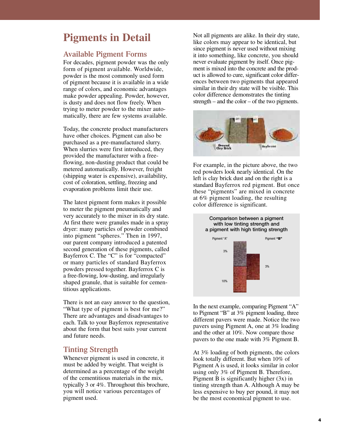# **Pigments in Detail**

### **Available Pigment Forms**

For decades, pigment powder was the only form of pigment available. Worldwide, powder is the most commonly used form of pigment because it is available in a wide range of colors, and economic advantages make powder appealing. Powder, however, is dusty and does not flow freely. When trying to meter powder to the mixer automatically, there are few systems available.

Today, the concrete product manufacturers have other choices. Pigment can also be purchased as a pre-manufactured slurry. When slurries were first introduced, they provided the manufacturer with a freeflowing, non-dusting product that could be metered automatically. However, freight (shipping water is expensive), availability, cost of coloration, settling, freezing and evaporation problems limit their use.

The latest pigment form makes it possible to meter the pigment pneumatically and very accurately to the mixer in its dry state. At first there were granules made in a spray dryer: many particles of powder combined into pigment "spheres." Then in 1997, our parent company introduced a patented second generation of these pigments, called Bayferrox C. The "C" is for "compacted" or many particles of standard Bayferrox powders pressed together. Bayferrox C is a free-flowing, low-dusting, and irregularly shaped granule, that is suitable for cementitious applications.

There is not an easy answer to the question, "What type of pigment is best for me?" There are advantages and disadvantages to each. Talk to your Bayferrox representative about the form that best suits your current and future needs.

#### **Tinting Strength**

Whenever pigment is used in concrete, it must be added by weight. That weight is determined as a percentage of the weight of the cementitious materials in the mix, typically 3 or 4%. Throughout this brochure, you will notice various percentages of pigment used.

Not all pigments are alike. In their dry state, like colors may appear to be identical, but since pigment is never used without mixing it into something, like concrete, you should never evaluate pigment by itself. Once pigment is mixed into the concrete and the product is allowed to cure, significant color differences between two pigments that appeared similar in their dry state will be visible. This color difference demonstrates the tinting strength – and the color – of the two pigments.



For example, in the picture above, the two red powders look nearly identical. On the left is clay brick dust and on the right is a standard Bayferrox red pigment. But once these "pigments" are mixed in concrete at 6% pigment loading, the resulting color difference is significant.



In the next example, comparing Pigment "A" to Pigment "B" at 3% pigment loading, three different pavers were made. Notice the two pavers using Pigment A, one at 3% loading and the other at 10%. Now compare those pavers to the one made with 3% Pigment B.

At 3% loading of both pigments, the colors look totally different. But when 10% of Pigment A is used, it looks similar in color using only 3% of Pigment B. Therefore, Pigment B is significantly higher (3x) in tinting strength than A. Although A may be less expensive to buy per pound, it may not be the most economical pigment to use.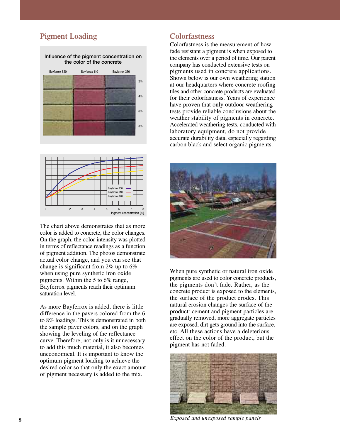# **Pigment Loading**





The chart above demonstrates that as more color is added to concrete, the color changes. On the graph, the color intensity was plotted in terms of reflectance readings as a function of pigment addition. The photos demonstrate actual color change, and you can see that change is significant from 2% up to 6% when using pure synthetic iron oxide pigments. Within the 5 to 6% range, Bayferrox pigments reach their optimum saturation level.

As more Bayferrox is added, there is little difference in the pavers colored from the 6 to 8% loadings. This is demonstrated in both the sample paver colors, and on the graph showing the leveling of the reflectance curve. Therefore, not only is it unnecessary to add this much material, it also becomes uneconomical. It is important to know the optimum pigment loading to achieve the desired color so that only the exact amount of pigment necessary is added to the mix.

# **Colorfastness**

Colorfastness is the measurement of how fade resistant a pigment is when exposed to the elements over a period of time. Our parent company has conducted extensive tests on pigments used in concrete applications. Shown below is our own weathering station at our headquarters where concrete roofing tiles and other concrete products are evaluated for their colorfastness. Years of experience have proven that only outdoor weathering tests provide reliable conclusions about the weather stability of pigments in concrete. Accelerated weathering tests, conducted with laboratory equipment, do not provide accurate durability data, especially regarding carbon black and select organic pigments.



When pure synthetic or natural iron oxide pigments are used to color concrete products, the pigments don't fade. Rather, as the concrete product is exposed to the elements, the surface of the product erodes. This natural erosion changes the surface of the product: cement and pigment particles are gradually removed, more aggregate particles are exposed, dirt gets ground into the surface, etc. All these actions have a deleterious effect on the color of the product, but the pigment has not faded.



*Exposed and unexposed sample panels* **<sup>5</sup>**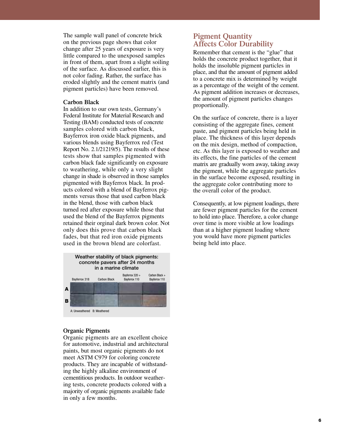The sample wall panel of concrete brick on the previous page shows that color change after 25 years of exposure is very little compared to the unexposed samples in front of them, apart from a slight soiling of the surface. As discussed earlier, this is not color fading. Rather, the surface has eroded slightly and the cement matrix (and pigment particles) have been removed.

#### **Carbon Black**

In addition to our own tests, Germany's Federal Institute for Material Research and Testing (BAM) conducted tests of concrete samples colored with carbon black, Bayferrox iron oxide black pigments, and various blends using Bayferrox red (Test Report No. 2.1/21219/5). The results of these tests show that samples pigmented with carbon black fade significantly on exposure to weathering, while only a very slight change in shade is observed in those samples pigmented with Bayferrox black. In products colored with a blend of Bayferrox pigments versus those that used carbon black in the blend, those with carbon black turned red after exposure while those that used the blend of the Bayferrox pigments retained their orginal dark brown color. Not only does this prove that carbon black fades, but that red iron oxide pigments used in the brown blend are colorfast.



#### **Organic Pigments**

Organic pigments are an excellent choice for automotive, industrial and architectural paints, but most organic pigments do not meet ASTM C979 for coloring concrete products. They are incapable of withstanding the highly alkaline environment of cementitious products. In outdoor weathering tests, concrete products colored with a majority of organic pigments available fade in only a few months.

## **Pigment Quantity Affects Color Durability**

Remember that cement is the "glue" that holds the concrete product together, that it holds the insoluble pigment particles in place, and that the amount of pigment added to a concrete mix is determined by weight as a percentage of the weight of the cement. As pigment addition increases or decreases, the amount of pigment particles changes proportionally.

On the surface of concrete, there is a layer consisting of the aggregate fines, cement paste, and pigment particles being held in place. The thickness of this layer depends on the mix design, method of compaction, etc. As this layer is exposed to weather and its effects, the fine particles of the cement matrix are gradually worn away, taking away the pigment, while the aggregate particles in the surface become exposed, resulting in the aggregate color contributing more to the overall color of the product.

Consequently, at low pigment loadings, there are fewer pigment particles for the cement to hold into place. Therefore, a color change over time is more visible at low loadings than at a higher pigment loading where you would have more pigment particles being held into place.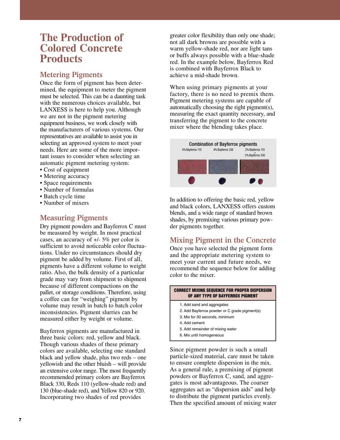# **The Production of Colored Concrete Products**

# **Metering Pigments**

Once the form of pigment has been determined, the equipment to meter the pigment must be selected. This can be a daunting task with the numerous choices available, but LANXESS is here to help you. Although we are not in the pigment metering equipment business, we work closely with the manufacturers of various systems. Our representatives are available to assist you in selecting an approved system to meet your needs. Here are some of the more important issues to consider when selecting an automatic pigment metering system:

- Cost of equipment
- Metering accuracy
- Space requirements
- Number of formulas
- Batch cycle time
- Number of mixers

# **Measuring Pigments**

Dry pigment powders and Bayferrox C must be measured by weight. In most practical cases, an accuracy of +/- 5% per color is sufficient to avoid noticeable color fluctuations. Under no circumstances should dry pigment be added by volume. First of all, pigments have a different volume to weight ratio. Also, the bulk density of a particular grade may vary from shipment to shipment because of different compactions on the pallet, or storage conditions. Therefore, using a coffee can for "weighing" pigment by volume may result in batch to batch color inconsistencies. Pigment slurries can be measured either by weight or volume.

Bayferrox pigments are manufactured in three basic colors: red, yellow and black. Though various shades of these primary colors are available, selecting one standard black and yellow shade, plus two reds – one yellowish and the other bluish – will provide an extensive color range. The most frequently recommended primary colors are Bayferrox Black 330, Reds 110 (yellow-shade red) and 130 (blue-shade red), and Yellow 820 or 920. Incorporating two shades of red provides

greater color flexibility than only one shade; not all dark browns are possible with a warm yellow-shade red, nor are light tans or buffs always possible with a blue-shade red. In the example below, Bayferrox Red is combined with Bayferrox Black to achieve a mid-shade brown.

When using primary pigments at your factory, there is no need to premix them. Pigment metering systems are capable of automatically choosing the right pigment(s), measuring the exact quantity necessary, and transferring the pigment to the concrete mixer where the blending takes place.



In addition to offering the basic red, yellow and black colors, LANXESS offers custom blends, and a wide range of standard brown shades, by premixing various primary powder pigments together.

# **Mixing Pigment in the Concrete**

Once you have selected the pigment form and the appropriate metering system to meet your current and future needs, we recommend the sequence below for adding color to the mixer.

#### 1. Add sand and aggregates 2. Add Bayferrox powder or C grade pigment(s) **CORRECT MIXING SEQUENCE FOR PROPER DISPERSION OF ANY TYPE OF BAYFERROX PIGMENT**

- 3. Mix for 30 seconds, minimum
- 4. Add cement
- 5. Add remainder of mixing water
- 6. Mix until homogeneous

Since pigment powder is such a small particle-sized material, care must be taken to ensure complete dispersion in the mix. As a general rule, a premixing of pigment powders or Bayferrox C, sand, and aggregates is most advantageous. The coarser aggregates act as "dispersion aids" and help to distribute the pigment particles evenly. Then the specified amount of mixing water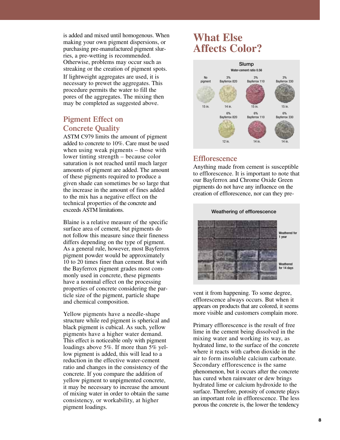is added and mixed until homogenous. When making your own pigment dispersions, or purchasing pre-manufactured pigment slurries, a pre-wetting is recommended. Otherwise, problems may occur such as streaking or the creation of pigment spots. If lightweight aggregates are used, it is necessary to prewet the aggregates. This procedure permits the water to fill the pores of the aggregates. The mixing then may be completed as suggested above.

## **Pigment Effect on Concrete Quality**

ASTM C979 limits the amount of pigment added to concrete to 10%. Care must be used when using weak pigments – those with lower tinting strength – because color saturation is not reached until much larger amounts of pigment are added. The amount of these pigments required to produce a given shade can sometimes be so large that the increase in the amount of fines added to the mix has a negative effect on the technical properties of the concrete and exceeds ASTM limitations.

Blaine is a relative measure of the specific surface area of cement, but pigments do not follow this measure since their fineness differs depending on the type of pigment. As a general rule, however, most Bayferrox pigment powder would be approximately 10 to 20 times finer than cement. But with the Bayferrox pigment grades most commonly used in concrete, these pigments have a nominal effect on the processing properties of concrete considering the particle size of the pigment, particle shape and chemical composition.

Yellow pigments have a needle-shape structure while red pigment is spherical and black pigment is cubical. As such, yellow pigments have a higher water demand. This effect is noticeable only with pigment loadings above 5%. If more than 5% yellow pigment is added, this will lead to a reduction in the effective water-cement ratio and changes in the consistency of the concrete. If you compare the addition of yellow pigment to unpigmented concrete, it may be necessary to increase the amount of mixing water in order to obtain the same consistency, or workability, at higher pigment loadings.

# **What Else Affects Color?**



#### **Efflorescence**

Anything made from cement is susceptible to efflorescence. It is important to note that our Bayferrox and Chrome Oxide Green pigments do not have any influence on the creation of efflorescence, nor can they pre-



vent it from happening. To some degree, efflorescence always occurs. But when it appears on products that are colored, it seems more visible and customers complain more.

Primary efflorescence is the result of free lime in the cement being dissolved in the mixing water and working its way, as hydrated lime, to the surface of the concrete where it reacts with carbon dioxide in the air to form insoluble calcium carbonate. Secondary efflorescence is the same phenomenon, but it occurs after the concrete has cured when rainwater or dew brings hydrated lime or calcium hydroxide to the surface. Therefore, porosity of concrete plays an important role in efflorescence. The less porous the concrete is, the lower the tendency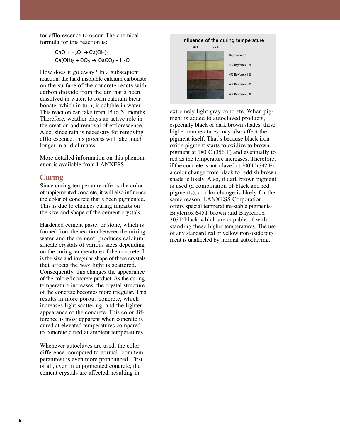for efflorescence to occur. The chemical formula for this reaction is:

> CaO +  $\text{H}_{2}\text{O}\rightarrow \text{Ca}(\text{OH})_{2}$  $\text{Ca(OH)}_{2} + \text{CO}_{2} \rightarrow \text{CaCO}_{3} + \text{H}_{2}\text{O}$

How does it go away? In a subsequent reaction, the hard insoluble calcium carbonate on the surface of the concrete reacts with carbon dioxide from the air that's been dissolved in water, to form calcium bicarbonate, which in turn, is soluble in water. This reaction can take from 15 to 24 months. Therefore, weather plays an active role in the creation and removal of efflorescence. Also, since rain is necessary for removing efflorescence, this process will take much longer in arid climates.

More detailed information on this phenomenon is available from LANXESS.

### **Curing**

Since curing temperature affects the color of unpigmented concrete, it will also influence the color of concrete that's been pigmented. This is due to changes curing imparts on the size and shape of the cement crystals.

Hardened cement paste, or stone, which is formed from the reaction between the mixing water and the cement, produces calcium silicate crystals of various sizes depending on the curing temperature of the concrete. It is the size and irregular shape of these crystals that affects the way light is scattered. Consequently, this changes the appearance of the colored concrete product. As the curing temperature increases, the crystal structure of the concrete becomes more irregular. This results in more porous concrete, which increases light scattering, and the lighter appearance of the concrete. This color difference is most apparent when concrete is cured at elevated temperatures compared to concrete cured at ambient temperatures.

Whenever autoclaves are used, the color difference (compared to normal room temperatures) is even more pronounced. First of all, even in unpigmented concrete, the cement crystals are affected, resulting in



extremely light gray concrete. When pigment is added to autoclaved products, especially black or dark brown shades, these higher temperatures may also affect the pigment itself. That's because black iron oxide pigment starts to oxidize to brown pigment at 180˚C (356˚F) and eventually to red as the temperature increases. Therefore, if the concrete is autoclaved at 200˚C (392˚F), a color change from black to reddish brown shade is likely. Also, if dark brown pigment is used (a combination of black and red pigments), a color change is likely for the same reason. LANXESS Corporation offers special temperature-stable pigments-Bayferrox 645T brown and Bayferrox 303T black-which are capable of withstanding these higher temperatures. The use of any standard red or yellow iron oxide pigment is unaffected by normal autoclaving.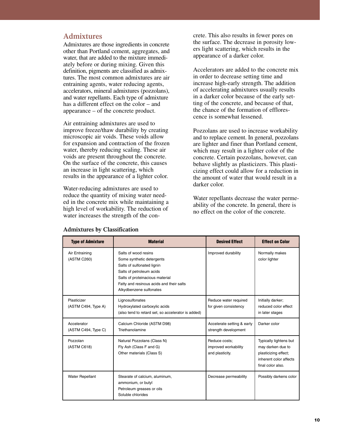#### **Admixtures**

Admixtures are those ingredients in concrete other than Portland cement, aggregates, and water, that are added to the mixture immediately before or during mixing. Given this definition, pigments are classified as admixtures. The most common admixtures are air entraining agents, water reducing agents, accelerators, mineral admixtures (pozzolans), and water repellants. Each type of admixture has a different effect on the color – and appearance – of the concrete product.

Air entraining admixtures are used to improve freeze/thaw durability by creating microscopic air voids. These voids allow for expansion and contraction of the frozen water, thereby reducing scaling. These air voids are present throughout the concrete. On the surface of the concrete, this causes an increase in light scattering, which results in the appearance of a lighter color.

Water-reducing admixtures are used to reduce the quantity of mixing water needed in the concrete mix while maintaining a high level of workability. The reduction of water increases the strength of the con-

crete. This also results in fewer pores on the surface. The decrease in porosity lowers light scattering, which results in the appearance of a darker color.

Accelerators are added to the concrete mix in order to decrease setting time and increase high-early strength. The addition of accelerating admixtures usually results in a darker color because of the early setting of the concrete, and because of that, the chance of the formation of efflorescence is somewhat lessened.

Pozzolans are used to increase workability and to replace cement. In general, pozzolans are lighter and finer than Portland cement, which may result in a lighter color of the concrete. Certain pozzolans, however, can behave slightly as plasticizers. This plasticizing effect could allow for a reduction in the amount of water that would result in a darker color.

Water repellants decrease the water permeability of the concrete. In general, there is no effect on the color of the concrete.

| <b>Type of Admixture</b>           | <b>Material</b>                                                                                                                                                                                                       | <b>Desired Effect</b>                                    | <b>Effect on Color</b>                                                                                             |
|------------------------------------|-----------------------------------------------------------------------------------------------------------------------------------------------------------------------------------------------------------------------|----------------------------------------------------------|--------------------------------------------------------------------------------------------------------------------|
| Air Entraining<br>(ASTM C260)      | Salts of wood resins<br>Some synthetic detergents<br>Salts of sulfonated lignin<br>Salts of petroleum acids<br>Salts of proteinacious material<br>Fatty and resinous acids and their salts<br>Alkydbenzene sulfonates | Improved durability                                      | Normally makes<br>color lighter                                                                                    |
| Plasticizer<br>(ASTM C494, Type A) | Lignosulfonates<br>Hydroxylated carboxylic acids<br>(also tend to retard set, so accelerator is added)                                                                                                                | Reduce water required<br>for given consistency           | Initially darker;<br>reduced color effect<br>in later stages                                                       |
| Accelerator<br>(ASTM C494, Type C) | Calcium Chloride (ASTM D98)<br>Triethanolamine                                                                                                                                                                        | Accelerate setting & early<br>strength development       | Darker color                                                                                                       |
| Pozzolan<br>(ASTM C618)            | Natural Pozzolans (Class N)<br>Fly Ash (Class F and G)<br>Other materials (Class S)                                                                                                                                   | Reduce costs:<br>improved workability<br>and plasticity. | Typically lightens but<br>may darken due to<br>plasticizing effect;<br>inherent color affects<br>final color also. |
| <b>Water Repellant</b>             | Stearate of calcium, aluminum,<br>ammonium, or butyl<br>Petroleum greases or oils<br>Soluble chlorides                                                                                                                | Decrease permeability                                    | Possibly darkens color                                                                                             |

#### **Admixtures by Classification**